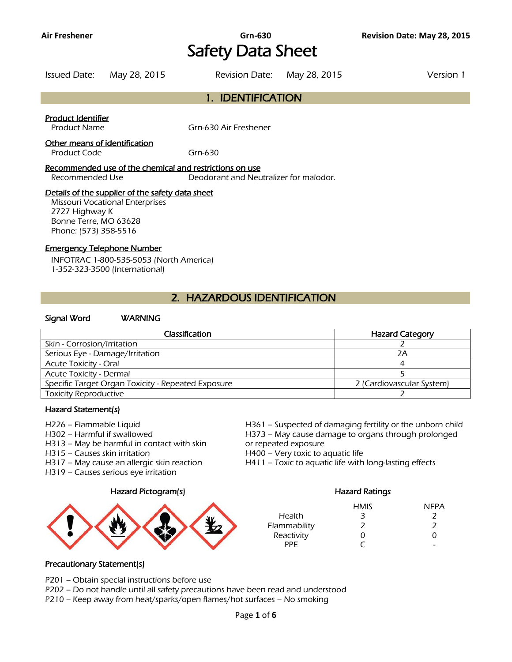# Safety Data Sheet

Issued Date: May 28, 2015 Revision Date: May 28, 2015 Version 1

# 1. IDENTIFICATION

#### Product Identifier

Product Name Grn-630 Air Freshener

### Other means of identification

Product Code Grn-630

#### Recommended use of the chemical and restrictions on use

Recommended Use Deodorant and Neutralizer for malodor.

#### Details of the supplier of the safety data sheet

Missouri Vocational Enterprises 2727 Highway K Bonne Terre, MO 63628 Phone: (573) 358-5516

#### Emergency Telephone Number

INFOTRAC 1-800-535-5053 (North America) 1-352-323-3500 (International)

# 2. HAZARDOUS IDENTIFICATION

#### Signal Word WARNING

| Classification                                     | <b>Hazard Category</b>    |
|----------------------------------------------------|---------------------------|
| Skin - Corrosion/Irritation                        |                           |
| Serious Eye - Damage/Irritation                    | 2Α                        |
| <b>Acute Toxicity - Oral</b>                       |                           |
| <b>Acute Toxicity - Dermal</b>                     |                           |
| Specific Target Organ Toxicity - Repeated Exposure | 2 (Cardiovascular System) |
| <b>Toxicity Reproductive</b>                       |                           |
|                                                    |                           |

#### Hazard Statement(s)

- 
- 
- H313 May be harmful in contact with skin or repeated exposure
- H315 Causes skin irritation **H400** Very toxic to aquatic life
- 
- H319 Causes serious eye irritation

#### Hazard Pictogram(s) Hazard Ratings



H226 – Flammable Liquid H361 – Suspected of damaging fertility or the unborn child H302 – Harmful if swallowed H373 – May cause damage to organs through prolonged

H317 – May cause an allergic skin reaction H411 – Toxic to aquatic life with long-lasting effects

|              | <b>HMIS</b> | <b>NFPA</b> |
|--------------|-------------|-------------|
| Health       | 3           |             |
| Flammability | 7           | 7           |
| Reactivity   | Ω           | O           |
| PPF          |             | -           |

### Precautionary Statement(s)

P201 – Obtain special instructions before use

P202 – Do not handle until all safety precautions have been read and understood

P210 – Keep away from heat/sparks/open flames/hot surfaces – No smoking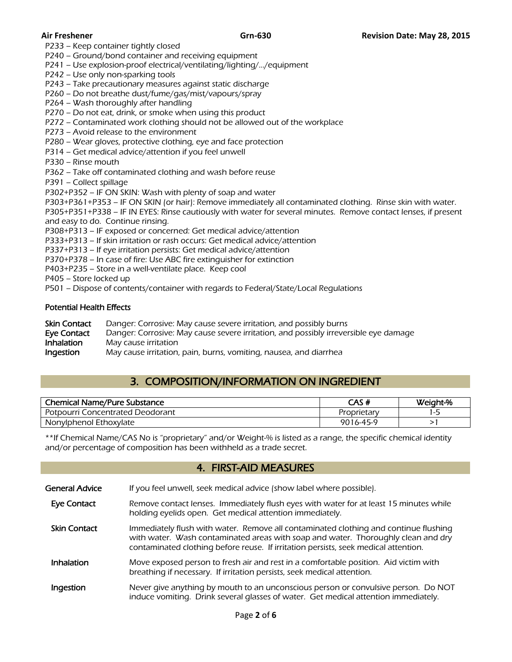P233 – Keep container tightly closed

P240 – Ground/bond container and receiving equipment

P241 – Use explosion-proof electrical/ventilating/lighting/…/equipment

P242 – Use only non-sparking tools

P243 – Take precautionary measures against static discharge

P260 – Do not breathe dust/fume/gas/mist/vapours/spray

P264 – Wash thoroughly after handling

P270 – Do not eat, drink, or smoke when using this product

P272 – Contaminated work clothing should not be allowed out of the workplace

P273 – Avoid release to the environment

P280 – Wear gloves, protective clothing, eye and face protection

P314 – Get medical advice/attention if you feel unwell

P330 – Rinse mouth

P362 – Take off contaminated clothing and wash before reuse

P391 – Collect spillage

P302+P352 – IF ON SKIN: Wash with plenty of soap and water

P303+P361+P353 – IF ON SKIN (or hair): Remove immediately all contaminated clothing. Rinse skin with water.

P305+P351+P338 – IF IN EYES: Rinse cautiously with water for several minutes. Remove contact lenses, if present and easy to do. Continue rinsing.

P308+P313 – IF exposed or concerned: Get medical advice/attention

P333+P313 – If skin irritation or rash occurs: Get medical advice/attention

P337+P313 – If eye irritation persists: Get medical advice/attention

P370+P378 – In case of fire: Use ABC fire extinguisher for extinction

P403+P235 – Store in a well-ventilate place. Keep cool

P405 – Store locked up

P501 – Dispose of contents/container with regards to Federal/State/Local Regulations

#### Potential Health Effects

| Skin Contact | Danger: Corrosive: May cause severe irritation, and possibly burns                   |
|--------------|--------------------------------------------------------------------------------------|
| Eve Contact  | Danger: Corrosive: May cause severe irritation, and possibly irreversible eye damage |
| Inhalation   | May cause irritation                                                                 |
| Ingestion    | May cause irritation, pain, burns, vomiting, nausea, and diarrhea                    |

# 3. COMPOSITION/INFORMATION ON INGREDIENT

| <b>Chemical Name/Pure Substance</b> | CAS#        | Weight-% |
|-------------------------------------|-------------|----------|
| Potpourri Concentrated Deodorant    | Proprietary | ı – 1    |
| Nonylphenol Ethoxylate              | 9016-45-9   |          |
|                                     |             |          |

\*\*If Chemical Name/CAS No is "proprietary" and/or Weight-% is listed as a range, the specific chemical identity and/or percentage of composition has been withheld as a trade secret.

### 4. FIRST-AID MEASURES

| General Advice | If you feel unwell, seek medical advice (show label where possible). |
|----------------|----------------------------------------------------------------------|
|                |                                                                      |

- Eye Contact Remove contact lenses. Immediately flush eyes with water for at least 15 minutes while holding eyelids open. Get medical attention immediately.
- Skin Contact Immediately flush with water. Remove all contaminated clothing and continue flushing with water. Wash contaminated areas with soap and water. Thoroughly clean and dry contaminated clothing before reuse. If irritation persists, seek medical attention.
- Inhalation Move exposed person to fresh air and rest in a comfortable position. Aid victim with breathing if necessary. If irritation persists, seek medical attention.
- Ingestion Never give anything by mouth to an unconscious person or convulsive person. Do NOT induce vomiting. Drink several glasses of water. Get medical attention immediately.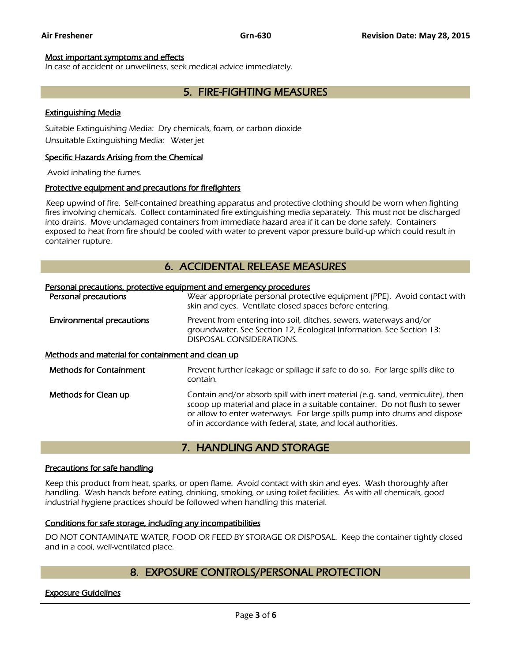#### Most important symptoms and effects

In case of accident or unwellness, seek medical advice immediately.

# 5. FIRE-FIGHTING MEASURES

#### Extinguishing Media

Suitable Extinguishing Media: Dry chemicals, foam, or carbon dioxide Unsuitable Extinguishing Media: Water jet

#### Specific Hazards Arising from the Chemical

Avoid inhaling the fumes.

#### Protective equipment and precautions for firefighters

 Keep upwind of fire. Self-contained breathing apparatus and protective clothing should be worn when fighting fires involving chemicals. Collect contaminated fire extinguishing media separately. This must not be discharged into drains. Move undamaged containers from immediate hazard area if it can be done safely. Containers exposed to heat from fire should be cooled with water to prevent vapor pressure build-up which could result in container rupture.

# 6. ACCIDENTAL RELEASE MEASURES

| Personal precautions, protective equipment and emergency procedures |                                                                                                                                                                                                                                                                                                           |  |
|---------------------------------------------------------------------|-----------------------------------------------------------------------------------------------------------------------------------------------------------------------------------------------------------------------------------------------------------------------------------------------------------|--|
| Personal precautions                                                | Wear appropriate personal protective equipment (PPE). Avoid contact with<br>skin and eyes. Ventilate closed spaces before entering.                                                                                                                                                                       |  |
| <b>Environmental precautions</b>                                    | Prevent from entering into soil, ditches, sewers, waterways and/or<br>groundwater. See Section 12, Ecological Information. See Section 13:<br>DISPOSAL CONSIDERATIONS.                                                                                                                                    |  |
| <u>Methods and material for containment and clean up</u>            |                                                                                                                                                                                                                                                                                                           |  |
| <b>Methods for Containment</b>                                      | Prevent further leakage or spillage if safe to do so. For large spills dike to<br>contain.                                                                                                                                                                                                                |  |
| Methods for Clean up                                                | Contain and/or absorb spill with inert material (e.g. sand, vermiculite), then<br>scoop up material and place in a suitable container. Do not flush to sewer<br>or allow to enter waterways. For large spills pump into drums and dispose<br>of in accordance with federal, state, and local authorities. |  |

# 7. HANDLING AND STORAGE

#### Precautions for safe handling

Keep this product from heat, sparks, or open flame. Avoid contact with skin and eyes. Wash thoroughly after handling. Wash hands before eating, drinking, smoking, or using toilet facilities. As with all chemicals, good industrial hygiene practices should be followed when handling this material.

#### Conditions for safe storage, including any incompatibilities

DO NOT CONTAMINATE WATER, FOOD OR FEED BY STORAGE OR DISPOSAL. Keep the container tightly closed and in a cool, well-ventilated place.

# 8. EXPOSURE CONTROLS/PERSONAL PROTECTION

#### Exposure Guidelines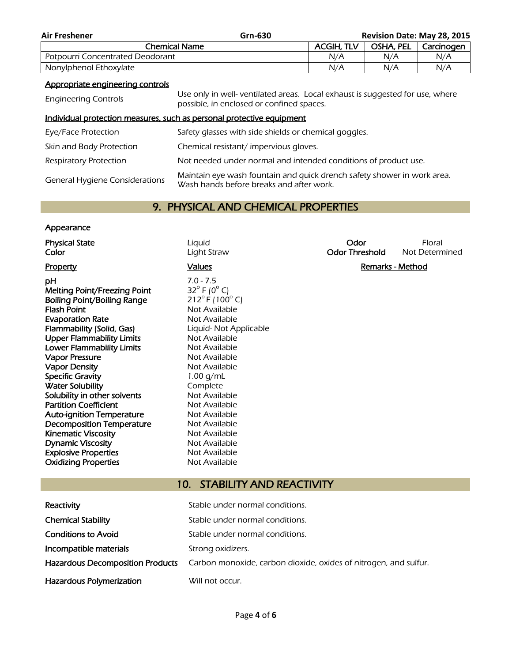| <b>Air Freshener</b>                                        | Grn-630 |                   |           | <b>Revision Date: May 28, 2015</b> |
|-------------------------------------------------------------|---------|-------------------|-----------|------------------------------------|
| Chemical Name                                               |         | <b>ACGIH, TLV</b> | OSHA, PEL | Carcinogen                         |
| Potpourri Concentrated Deodorant                            |         | N/A               | N/A       | N/A                                |
| Nonylphenol Ethoxylate                                      |         | N/A               | N/A       | N/A                                |
| A second substantial contract substantial substantial state |         |                   |           |                                    |

#### Appropriate engineering controls

Explosive Properties<br>
Oxidizing Properties<br>
Oxidizing Properties<br>
Not Available

**Oxidizing Properties** 

| <b>Engineering Controls</b>           | Use only in well- ventilated areas. Local exhaust is suggested for use, where<br>possible, in enclosed or confined spaces. |
|---------------------------------------|----------------------------------------------------------------------------------------------------------------------------|
|                                       | Individual protection measures, such as personal protective equipment                                                      |
| Eye/Face Protection                   | Safety glasses with side shields or chemical goggles.                                                                      |
| Skin and Body Protection              | Chemical resistant/impervious gloves.                                                                                      |
| <b>Respiratory Protection</b>         | Not needed under normal and intended conditions of product use.                                                            |
| <b>General Hygiene Considerations</b> | Maintain eye wash fountain and quick drench safety shower in work area.<br>Wash hands before breaks and after work.        |

# 9. PHYSICAL AND CHEMICAL PROPERTIES

#### **Appearance**

**Physical State Contract Contract Contract Contract Contract Contract Contract Contract Contract Contract Contract Contract Contract Contract Contract Contract Contract Contract Contract Contract Contract Contract Contra Color Color Light Straw Color Threshold** Not Determined Property **Calues Property Remarks - Method Calues Remarks - Method** pH  $7.0 - 7.5$ <br>Melting Point/Freezing Point  $32^\circ$  F (0 $^\circ$  C) Melting Point/Freezing Point  $32^\circ$  F (0<sup>o</sup> C)<br>Boiling Point/Boiling Range  $212^\circ$  F (100<sup>o</sup> C) Boiling Point/Boiling Range Flash Point Not Available **Evaporation Rate** Not Available Flammability (Solid, Gas) Liquid- Not Applicable Upper Flammability Limits Not Available Lower Flammability Limits Not Available Vapor Pressure Not Available Vapor Density **Not Available** Not Available Specific Gravity 1.00 g/mL Water Solubility **Complete** Solubility in other solvents Not Available Partition Coefficient Not Available Auto-ignition Temperature Mot Available **Decomposition Temperature** Not Available Kinematic Viscosity **Not Available Dynamic Viscosity** Not Available

# 10. STABILITY AND REACTIVITY

| Reactivity                              | Stable under normal conditions.                                  |
|-----------------------------------------|------------------------------------------------------------------|
| <b>Chemical Stability</b>               | Stable under normal conditions.                                  |
| <b>Conditions to Avoid</b>              | Stable under normal conditions.                                  |
| Incompatible materials                  | Strong oxidizers.                                                |
| <b>Hazardous Decomposition Products</b> | Carbon monoxide, carbon dioxide, oxides of nitrogen, and sulfur. |
| Hazardous Polymerization                | Will not occur.                                                  |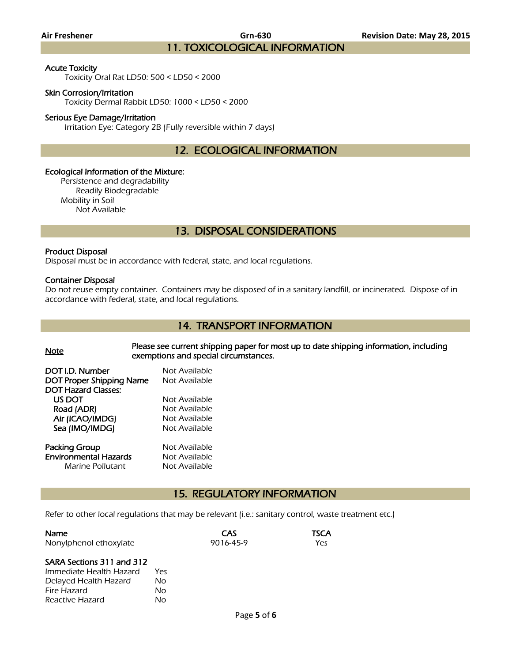**Air Freshener Grn-630 Revision Date: May 28, 2015** 11. TOXICOLOGICAL INFORMATION

#### Acute Toxicity

Toxicity Oral Rat LD50: 500 < LD50 < 2000

#### Skin Corrosion/Irritation

Toxicity Dermal Rabbit LD50: 1000 < LD50 < 2000

#### Serious Eye Damage/Irritation

Irritation Eye: Category 2B (Fully reversible within 7 days)

12. ECOLOGICAL INFORMATION

#### Ecological Information of the Mixture:

Persistence and degradability Readily Biodegradable Mobility in Soil Not Available

# 13. DISPOSAL CONSIDERATIONS

#### Product Disposal

Disposal must be in accordance with federal, state, and local regulations.

#### Container Disposal

Do not reuse empty container. Containers may be disposed of in a sanitary landfill, or incinerated. Dispose of in accordance with federal, state, and local regulations.

### 14. TRANSPORT INFORMATION

Note Please see current shipping paper for most up to date shipping information, including exemptions and special circumstances.

| DOT I.D. Number                 | Not Available |
|---------------------------------|---------------|
| <b>DOT Proper Shipping Name</b> | Not Available |
| <b>DOT Hazard Classes:</b>      |               |
| US DOT                          | Not Available |
| Road (ADR)                      | Not Available |
| Air (ICAO/IMDG)                 | Not Available |
| Sea (IMO/IMDG)                  | Not Available |
|                                 |               |
| <b>Packing Group</b>            | Not Available |

**Environmental Hazards** Not Available Marine Pollutant Not Available

Reactive Hazard No

## 15. REGULATORY INFORMATION

Refer to other local regulations that may be relevant (i.e.: sanitary control, waste treatment etc.)

| <b>Name</b>               |      | CAS       | TSCA |
|---------------------------|------|-----------|------|
| Nonylphenol ethoxylate    |      | 9016-45-9 | Yes  |
| SARA Sections 311 and 312 |      |           |      |
| Immediate Health Hazard   | Yes. |           |      |
| Delayed Health Hazard     | No   |           |      |
| Fire Hazard               | Nο   |           |      |